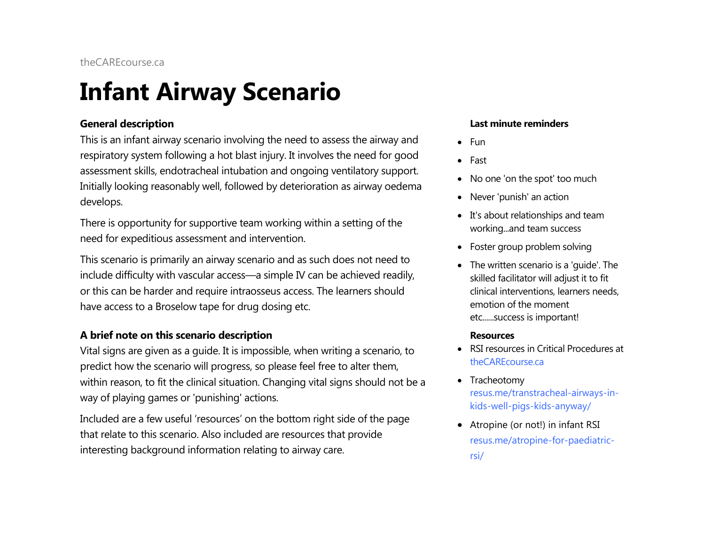# **Infant Airway Scenario**

#### **General description**

This is an infant airway scenario involving the need to assess the airway and respiratory system following a hot blast injury. It involves the need for good assessment skills, endotracheal intubation and ongoing ventilatory support. Initially looking reasonably well, followed by deterioration as airway oedema develops.

There is opportunity for supportive team working within a setting of the need for expeditious assessment and intervention.

This scenario is primarily an airway scenario and as such does not need to include difficulty with vascular access—a simple IV can be achieved readily, or this can be harder and require intraosseus access. The learners should have access to a Broselow tape for drug dosing etc.

#### **A brief note on this scenario description**

Vital signs are given as a guide. It is impossible, when writing a scenario, to predict how the scenario will progress, so please feel free to alter them, within reason, to fit the clinical situation. Changing vital signs should not be a way of playing games or 'punishing' actions.

Included are a few useful 'resources' on the bottom right side of the page that relate to this scenario. Also included are resources that provide interesting background information relating to airway care.

#### **Last minute reminders**

- Fun
- Fast
- No one 'on the spot' too much
- Never 'punish' an action
- It's about relationships and team working...and team success
- Foster group problem solving
- The written scenario is a 'guide'. The skilled facilitator will adjust it to fit clinical interventions, learners needs, emotion of the moment etc......success is important!

#### **Resources**

- RSI resources in Critical Procedures at [theCAREcourse.ca](http://thecarecourse.ca/)
- Tracheotomy resus.me/transtracheal-airways-inkids-well-pigs-kids-anyway/
- Atropine (or not!) in infant RSI resus.me/atropine-for-paediatricrsi/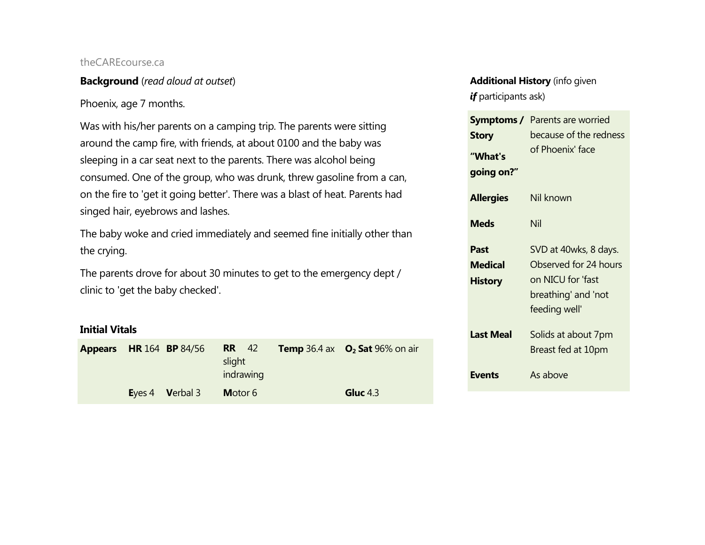#### **Background** (*read aloud at outset*)

#### Phoenix, age 7 months.

Was with his/her parents on a camping trip. The parents were sitting around the camp fire, with friends, at about 0100 and the baby was sleeping in a car seat next to the parents. There was alcohol being consumed. One of the group, who was drunk, threw gasoline from a can, on the fire to 'get it going better'. There was a blast of heat. Parents had singed hair, eyebrows and lashes.

The baby woke and cried immediately and seemed fine initially other than the crying.

The parents drove for about 30 minutes to get to the emergency dept / clinic to 'get the baby checked'.

#### **Initial Vitals**

| <b>Appears</b> | <b>HR</b> 164 <b>BP</b> 84/56 | <b>RR</b> 42<br>slight<br>indrawing | <b>Temp</b> 36.4 ax $O_2$ Sat 96% on air |
|----------------|-------------------------------|-------------------------------------|------------------------------------------|
|                | Eyes 4 Verbal 3               | Motor 6                             | <b>Gluc</b> 4.3                          |

#### **Additional History** (info given *if* participants ask)

| Symptoms /            | Parents are worried    |  |  |
|-----------------------|------------------------|--|--|
| <b>Story</b>          | because of the redness |  |  |
| "What's<br>going on?" | of Phoenix' face       |  |  |
| <b>Allergies</b>      | Nil known              |  |  |
| <b>Meds</b>           | Nil                    |  |  |
| Past                  | SVD at 40wks, 8 days.  |  |  |
| <b>Medical</b>        | Observed for 24 hours  |  |  |
| <b>History</b>        | on NICU for 'fast      |  |  |
|                       | breathing' and 'not    |  |  |
|                       | feeding well'          |  |  |
| <b>Last Meal</b>      | Solids at about 7pm    |  |  |
|                       | Breast fed at 10pm     |  |  |
| <b>Events</b>         | As above               |  |  |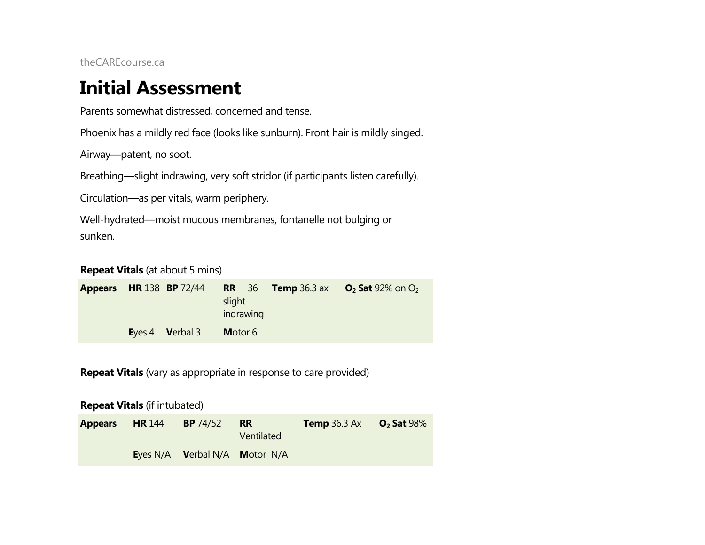### **Initial Assessment**

Parents somewhat distressed, concerned and tense.

Phoenix has a mildly red face (looks like sunburn). Front hair is mildly singed.

Airway—patent, no soot.

Breathing—slight indrawing, very soft stridor (if participants listen carefully).

Circulation—as per vitals, warm periphery.

Well-hydrated—moist mucous membranes, fontanelle not bulging or sunken.

**Repeat Vitals** (at about 5 mins)

| <b>Appears</b> HR 138 BP 72/44 |                         | slight<br>indrawing |  | <b>RR</b> 36 <b>Temp</b> 36.3 ax $O_2$ <b>Sat</b> 92% on $O_2$ |
|--------------------------------|-------------------------|---------------------|--|----------------------------------------------------------------|
|                                | Eyes 4 <b>V</b> erbal 3 | Motor 6             |  |                                                                |

**Repeat Vitals** (vary as appropriate in response to care provided)

**Repeat Vitals** (if intubated)

| <b>Appears</b> | <b>HR</b> 144 | <b>BP</b> 74/52               | <b>RR</b><br>Ventilated | <b>Temp</b> 36.3 Ax $O_2$ Sat 98% |  |
|----------------|---------------|-------------------------------|-------------------------|-----------------------------------|--|
|                |               | Eyes N/A Verbal N/A Motor N/A |                         |                                   |  |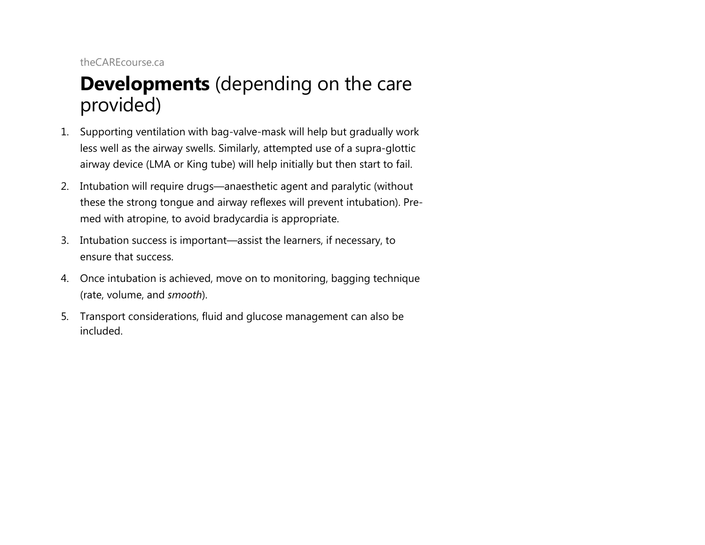### **Developments** (depending on the care provided)

- 1. Supporting ventilation with bag-valve-mask will help but gradually work less well as the airway swells. Similarly, attempted use of a supra-glottic airway device (LMA or King tube) will help initially but then start to fail.
- 2. Intubation will require drugs—anaesthetic agent and paralytic (without these the strong tongue and airway reflexes will prevent intubation). Premed with atropine, to avoid bradycardia is appropriate.
- 3. Intubation success is important—assist the learners, if necessary, to ensure that success.
- 4. Once intubation is achieved, move on to monitoring, bagging technique (rate, volume, and *smooth*).
- 5. Transport considerations, fluid and glucose management can also be included.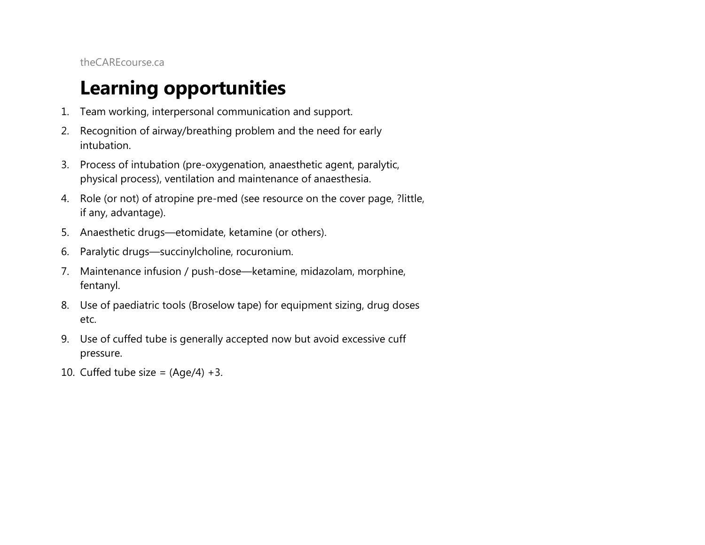# **Learning opportunities**

- 1. Team working, interpersonal communication and support.
- 2. Recognition of airway/breathing problem and the need for early intubation.
- 3. Process of intubation (pre-oxygenation, anaesthetic agent, paralytic, physical process), ventilation and maintenance of anaesthesia.
- 4. Role (or not) of atropine pre-med (see resource on the cover page, ?little, if any, advantage).
- 5. Anaesthetic drugs—etomidate, ketamine (or others).
- 6. Paralytic drugs—succinylcholine, rocuronium.
- 7. Maintenance infusion / push-dose—ketamine, midazolam, morphine, fentanyl.
- 8. Use of paediatric tools (Broselow tape) for equipment sizing, drug doses etc.
- 9. Use of cuffed tube is generally accepted now but avoid excessive cuff pressure.
- 10. Cuffed tube size =  $(Aqe/4) +3$ .